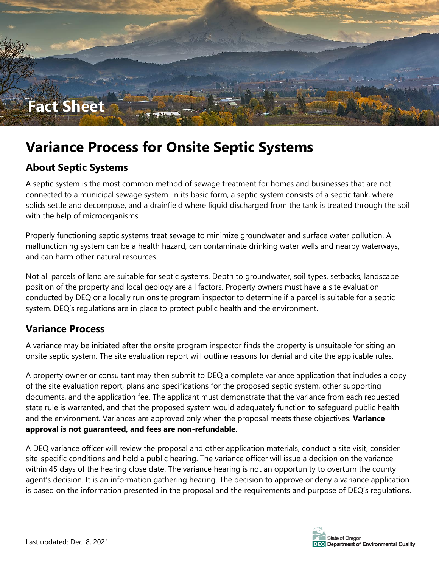

# **Variance Process for Onsite Septic Systems**

#### **About Septic Systems**

A septic system is the most common method of sewage treatment for homes and businesses that are not connected to a municipal sewage system. In its basic form, a septic system consists of a septic tank, where solids settle and decompose, and a drainfield where liquid discharged from the tank is treated through the soil with the help of microorganisms.

Properly functioning septic systems treat sewage to minimize groundwater and surface water pollution. A malfunctioning system can be a health hazard, can contaminate drinking water wells and nearby waterways, and can harm other natural resources.

Not all parcels of land are suitable for septic systems. Depth to groundwater, soil types, setbacks, landscape position of the property and local geology are all factors. Property owners must have a site evaluation conducted by DEQ or a locally run onsite program inspector to determine if a parcel is suitable for a septic system. DEQ's regulations are in place to protect public health and the environment.

#### **Variance Process**

A variance may be initiated after the onsite program inspector finds the property is unsuitable for siting an onsite septic system. The site evaluation report will outline reasons for denial and cite the applicable rules.

A property owner or consultant may then submit to DEQ a complete variance application that includes a copy of the site evaluation report, plans and specifications for the proposed septic system, other supporting documents, and the application fee. The applicant must demonstrate that the variance from each requested state rule is warranted, and that the proposed system would adequately function to safeguard public health and the environment. Variances are approved only when the proposal meets these objectives. **Variance approval is not guaranteed, and fees are non-refundable**.

A DEQ variance officer will review the proposal and other application materials, conduct a site visit, consider site-specific conditions and hold a public hearing. The variance officer will issue a decision on the variance within 45 days of the hearing close date. The variance hearing is not an opportunity to overturn the county agent's decision. It is an information gathering hearing. The decision to approve or deny a variance application is based on the information presented in the proposal and the requirements and purpose of DEQ's regulations.